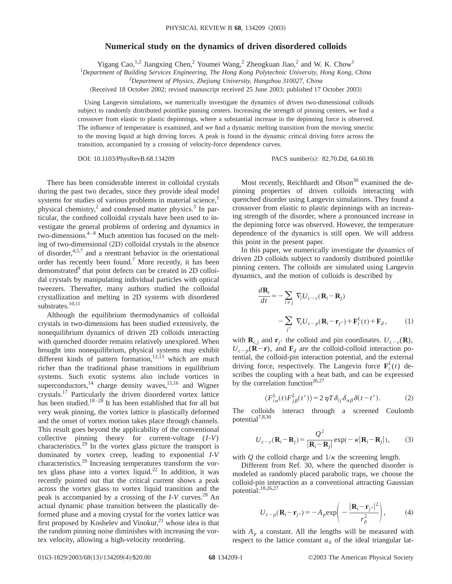## **Numerical study on the dynamics of driven disordered colloids**

Yigang Cao,<sup>1,2</sup> Jiangxing Chen,<sup>2</sup> Youmei Wang,<sup>2</sup> Zhengkuan Jiao,<sup>2</sup> and W. K. Chow<sup>1</sup>

1 *Department of Building Services Engineering, The Hong Kong Polytechnic University, Hong Kong, China*

2 *Department of Physics, Zhejiang University, Hangzhou 310027, China*

(Received 18 October 2002; revised manuscript received 25 June 2003; published 17 October 2003)

Using Langevin simulations, we numerically investigate the dynamics of driven two-dimensional colloids subject to randomly distributed pointlike pinning centers. Increasing the strength of pinning centers, we find a crossover from elastic to plastic depinnings, where a substantial increase in the depinning force is observed. The influence of temperature is examined, and we find a dynamic melting transition from the moving smectic to the moving liquid at high driving forces. A peak is found in the dynamic critical driving force across the transition, accompanied by a crossing of velocity-force dependence curves.

DOI: 10.1103/PhysRevB.68.134209 PACS number(s): 82.70.Dd, 64.60.Ht

There has been considerable interest in colloidal crystals during the past two decades, since they provide ideal model systems for studies of various problems in material science, $<sup>1</sup>$ </sup> physical chemistry, $^2$  and condensed matter physics. $^3$  In particular, the confined colloidal crystals have been used to investigate the general problems of ordering and dynamics in two-dimensions. $4-8$  Much attention has focused on the melting of two-dimensional  $(2D)$  colloidal crystals in the absence of disorder, $4,5,7$  and a reentrant behavior in the orientational order has recently been found.7 More recently, it has been demonstrated<sup>9</sup> that point defects can be created in 2D colloidal crystals by manipulating individual particles with optical tweezers. Thereafter, many authors studied the colloidal crystallization and melting in 2D systems with disordered substrates.<sup>10,11</sup>

Although the equilibrium thermodynamics of colloidal crystals in two-dimensions has been studied extensively, the nonequilibrium dynamics of driven 2D colloids interacting with quenched disorder remains relatively unexplored. When brought into nonequilibrium, physical systems may exhibit different kinds of pattern formation,<sup>12,13</sup> which are much richer than the traditional phase transitions in equilibrium systems. Such exotic systems also include vortices in superconductors,<sup>14</sup> charge density waves,<sup>15,16</sup> and Wigner crystals.17 Particularly the driven disordered vortex lattice has been studied.<sup>18–28</sup> It has been established that for all but very weak pinning, the vortex lattice is plastically deformed and the onset of vortex motion takes place through channels. This result goes beyond the applicability of the conventional collective pinning theory for current-voltage (*I*-*V*) characteristics.29 In the vortex glass picture the transport is dominated by vortex creep, leading to exponential *I*-*V* characteristics.<sup>20</sup> Increasing temperatures transform the vortex glass phase into a vortex liquid.<sup>22</sup> In addition, it was recently pointed out that the critical current shows a peak across the vortex glass to vortex liquid transition and the peak is accompanied by a crossing of the *I*-*V* curves.<sup>28</sup> An actual dynamic phase transition between the plastically deformed phase and a moving crystal for the vortex lattice was first proposed by Koshelev and Vinokur, $21$  whose idea is that the random pinning noise diminishes with increasing the vortex velocity, allowing a high-velocity reordering.

Most recently, Reichhardt and  $Olson<sup>30</sup>$  examined the depinning properties of driven colloids interacting with quenched disorder using Langevin simulations. They found a crossover from elastic to plastic depinnings with an increasing strength of the disorder, where a pronounced increase in the depinning force was observed. However, the temperature dependence of the dynamics is still open. We will address this point in the present paper.

In this paper, we numerically investigate the dynamics of driven 2D colloids subject to randomly distributed pointlike pinning centers. The colloids are simulated using Langevin dynamics, and the motion of colloids is described by

$$
\frac{d\mathbf{R}_i}{dt} = -\sum_{i \neq j} \nabla_i U_{c-c} (\mathbf{R}_i - \mathbf{R}_j)
$$

$$
-\sum_{j'} \nabla_i U_{c-p} (\mathbf{R}_i - \mathbf{r}_{j'}) + \mathbf{F}_i^L(t) + \mathbf{F}_d, \qquad (1)
$$

with  $\mathbf{R}_{i,j}$  and  $\mathbf{r}_{j'}$  the colloid and pin coordinates.  $U_{c-c}(\mathbf{R})$ ,  $U_{c-p}(\mathbf{R}-\mathbf{r})$ , and  $\mathbf{F}_d$  are the colloid-colloid interaction potential, the colloid-pin interaction potential, and the external driving force, respectively. The Langevin force  $\mathbf{F}_i^L(t)$  describes the coupling with a heat bath, and can be expressed by the correlation function<sup>26,27</sup>

$$
\langle F_{i\alpha}^L(t)F_{j\beta}^L(t')\rangle = 2\,\eta T\,\delta_{ij}\,\delta_{\alpha\beta}\,\delta(t-t').\tag{2}
$$

The colloids interact through a screened Coulomb potential<sup>7,8,30</sup>

$$
U_{c-c}(\mathbf{R}_i - \mathbf{R}_j) = \frac{Q^2}{|\mathbf{R}_i - \mathbf{R}_j|} \exp(-\kappa |\mathbf{R}_i - \mathbf{R}_j|),
$$
 (3)

with *Q* the colloid charge and  $1/\kappa$  the screening length.

Different from Ref. 30, where the quenched disorder is modeled as randomly placed parabolic traps, we choose the colloid-pin interaction as a conventional attracting Gaussian potential:18,26,27

$$
U_{c-p}(\mathbf{R}_i - \mathbf{r}_{j'}) = -A_p \exp\left(-\frac{|\mathbf{R}_i - \mathbf{r}_{j'}|^2}{r_p^2}\right),\tag{4}
$$

with  $A_p$  a constant. All the lengths will be measured with respect to the lattice constant  $a_0$  of the ideal triangular lat-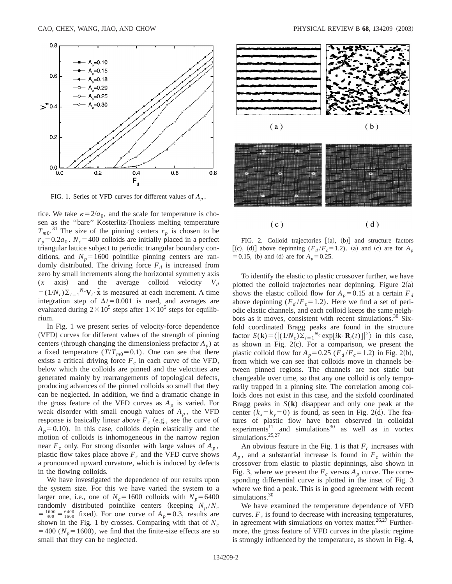

FIG. 1. Series of VFD curves for different values of *Ap* .

tice. We take  $\kappa = 2/a_0$ , and the scale for temperature is chosen as the ''bare'' Kosterlitz-Thouless melting temperature  $T_{m0}$ .<sup>31</sup> The size of the pinning centers  $r_p$  is chosen to be  $r_p = 0.2a_0$ .  $N_c = 400$  colloids are initially placed in a perfect triangular lattice subject to periodic triangular boundary conditions, and  $N_p$ =1600 pointlike pinning centers are randomly distributed. The driving force  $F_d$  is increased from zero by small increments along the horizontal symmetry axis  $(x \text{ axis})$  and the average colloid velocity  $V_d$  $=(1/N_c)\sum_{i=1}^{N_c}V_i \cdot \hat{x}$  is measured at each increment. A time integration step of  $\Delta t$ =0.001 is used, and averages are evaluated during  $2\times10^5$  steps after  $1\times10^5$  steps for equilibrium.

In Fig. 1 we present series of velocity-force dependence (VFD) curves for different values of the strength of pinning centers (through changing the dimensionless prefactor  $A_p$ ) at a fixed temperature  $(T/T_{m0}=0.1)$ . One can see that there exists a critical driving force  $F_c$  in each curve of the VFD, below which the colloids are pinned and the velocities are generated mainly by rearrangements of topological defects, producing advances of the pinned colloids so small that they can be neglected. In addition, we find a dramatic change in the gross feature of the VFD curves as  $A_p$  is varied. For weak disorder with small enough values of  $A_p$ , the VFD response is basically linear above  $F_c$  (e.g., see the curve of  $A_p = 0.10$ ). In this case, colloids depin elastically and the motion of colloids is inhomogeneous in the narrow region near  $F_c$  only. For strong disorder with large values of  $A_p$ , plastic flow takes place above  $F_c$  and the VFD curve shows a pronounced upward curvature, which is induced by defects in the flowing colloids.

We have investigated the dependence of our results upon the system size. For this we have varied the system to a larger one, i.e., one of  $N_c = 1600$  colloids with  $N_p = 6400$ randomly distributed pointlike centers (keeping  $N_p / N_c$  $= \frac{1600}{400} = \frac{6400}{1600}$  fixed). For one curve of  $A_p = 0.3$ , results are shown in the Fig. 1 by crosses. Comparing with that of  $N_c$  $=400$  ( $N_p=1600$ ), we find that the finite-size effects are so small that they can be neglected.



FIG. 2. Colloid trajectories  $[(a), (b)]$  and structure factors [(c), (d)] above depinning  $(F_d / F_c = 1.2)$ . (a) and (c) are for  $A_p$  $=0.15$ , (b) and (d) are for  $A_p = 0.25$ .

To identify the elastic to plastic crossover further, we have plotted the colloid trajectories near depinning. Figure  $2(a)$ shows the elastic colloid flow for  $A_p = 0.15$  at a certain  $F_d$ above depinning  $(F_d / F_c = 1.2)$ . Here we find a set of periodic elastic channels, and each colloid keeps the same neighbors as it moves, consistent with recent simulations.<sup>30</sup> Sixfold coordinated Bragg peaks are found in the structure factor  $S(\mathbf{k}) = \langle | (1/N_c)\Sigma_{i=1}^{N_c} \exp[i\mathbf{k} \cdot \mathbf{R}_i(t)]|^2 \rangle$  in this case, as shown in Fig.  $2(c)$ . For a comparison, we present the plastic colloid flow for  $A_p = 0.25$  ( $F_d / F_c = 1.2$ ) in Fig. 2(b), from which we can see that colloids move in channels between pinned regions. The channels are not static but changeable over time, so that any one colloid is only temporarily trapped in a pinning site. The correlation among colloids does not exist in this case, and the sixfold coordinated Bragg peaks in  $S(\mathbf{k})$  disappear and only one peak at the center  $(k_x = k_y = 0)$  is found, as seen in Fig. 2(d). The features of plastic flow have been observed in colloidal experiments<sup>11</sup> and simulations<sup>30</sup> as well as in vortex simulations.<sup>25,27</sup>

An obvious feature in the Fig. 1 is that  $F_c$  increases with  $A_p$ , and a substantial increase is found in  $F_c$  within the crossover from elastic to plastic depinnings, also shown in Fig. 3, where we present the  $F_c$  versus  $A_p$  curve. The corresponding differential curve is plotted in the inset of Fig. 3 where we find a peak. This is in good agreement with recent simulations.<sup>30</sup>

We have examined the temperature dependence of VFD curves.  $F_c$  is found to decrease with increasing temperatures, in agreement with simulations on vortex matter.<sup>26,27</sup> Furthermore, the gross feature of VFD curves in the plastic regime is strongly influenced by the temperature, as shown in Fig. 4,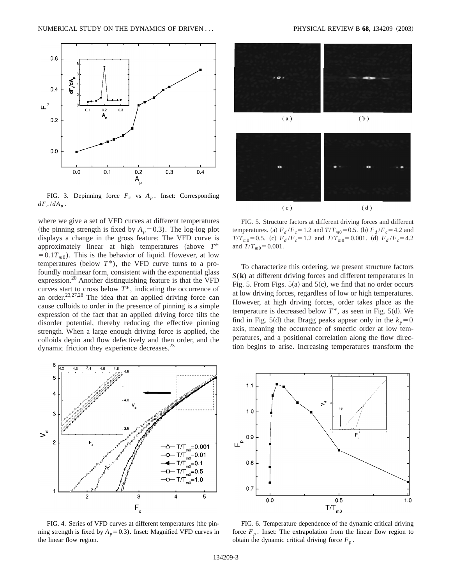

FIG. 3. Depinning force  $F_c$  vs  $A_n$ . Inset: Corresponding  $dF_c/dA_p$ .

where we give a set of VFD curves at different temperatures (the pinning strength is fixed by  $A_p = 0.3$ ). The log-log plot displays a change in the gross feature: The VFD curve is approximately linear at high temperatures (above  $T^*$  $=0.1T_{m0}$ ). This is the behavior of liquid. However, at low temperatures (below  $T^*$ ), the VFD curve turns to a profoundly nonlinear form, consistent with the exponential glass expression.<sup>20</sup> Another distinguishing feature is that the VFD curves start to cross below  $T^*$ , indicating the occurrence of an order. $23,27,28$  The idea that an applied driving force can cause colloids to order in the presence of pinning is a simple expression of the fact that an applied driving force tilts the disorder potential, thereby reducing the effective pinning strength. When a large enough driving force is applied, the colloids depin and flow defectively and then order, and the dynamic friction they experience decreases. $^{23}$ 



FIG. 4. Series of VFD curves at different temperatures (the pinning strength is fixed by  $A_p = 0.3$ ). Inset: Magnified VFD curves in the linear flow region.



FIG. 5. Structure factors at different driving forces and different temperatures. (a)  $F_d / F_c = 1.2$  and  $T / T_{m0} = 0.5$ . (b)  $F_d / F_c = 4.2$  and  $T/T_{m0} = 0.5$ . (c)  $F_d/F_c = 1.2$  and  $T/T_{m0} = 0.001$ . (d)  $F_d/F_c = 4.2$ and  $T/T_{m0} = 0.001$ .

To characterize this ordering, we present structure factors *S*(**k**) at different driving forces and different temperatures in Fig. 5. From Figs.  $5(a)$  and  $5(c)$ , we find that no order occurs at low driving forces, regardless of low or high temperatures. However, at high driving forces, order takes place as the temperature is decreased below  $T^*$ , as seen in Fig. 5(d). We find in Fig. 5(d) that Bragg peaks appear only in the  $k_y=0$ axis, meaning the occurrence of smectic order at low temperatures, and a positional correlation along the flow direction begins to arise. Increasing temperatures transform the



FIG. 6. Temperature dependence of the dynamic critical driving force  $F_p$ . Inset: The extrapolation from the linear flow region to obtain the dynamic critical driving force  $F_p$ .